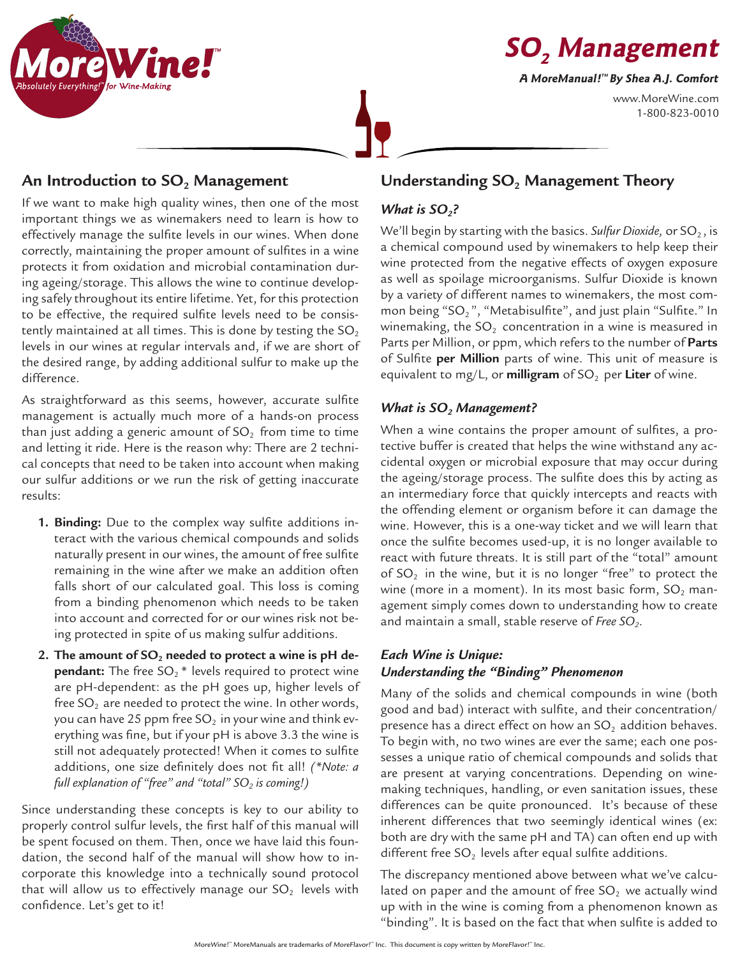



www.MoreWine.com 1-800-823-0010

# An Introduction to SO<sub>2</sub> Management

If we want to make high quality wines, then one of the most important things we as winemakers need to learn is how to effectively manage the sulfite levels in our wines. When done correctly, maintaining the proper amount of sulfites in a wine protects it from oxidation and microbial contamination during ageing/storage. This allows the wine to continue developing safely throughout its entire lifetime. Yet, for this protection to be effective, the required sulfite levels need to be consistently maintained at all times. This is done by testing the  $SO<sub>2</sub>$ levels in our wines at regular intervals and, if we are short of the desired range, by adding additional sulfur to make up the difference.

As straightforward as this seems, however, accurate sulfite management is actually much more of a hands-on process than just adding a generic amount of  $SO<sub>2</sub>$  from time to time and letting it ride. Here is the reason why: There are 2 technical concepts that need to be taken into account when making our sulfur additions or we run the risk of getting inaccurate results:

- **1. Binding:** Due to the complex way sulfite additions interact with the various chemical compounds and solids naturally present in our wines, the amount of free sulfite remaining in the wine after we make an addition often falls short of our calculated goal. This loss is coming from a binding phenomenon which needs to be taken into account and corrected for or our wines risk not being protected in spite of us making sulfur additions.
- 2. The amount of SO<sub>2</sub> needed to protect a wine is pH de**pendant:** The free SO<sub>2</sub><sup>\*</sup> levels required to protect wine are pH-dependent: as the pH goes up, higher levels of free  $SO<sub>2</sub>$  are needed to protect the wine. In other words, you can have 25 ppm free  $SO_2$  in your wine and think everything was fine, but if your pH is above 3.3 the wine is still not adequately protected! When it comes to sulfite additions, one size definitely does not fit all! *(\*Note: a*  full explanation of "free" and "total" SO<sub>2</sub> is coming!)

Since understanding these concepts is key to our ability to properly control sulfur levels, the first half of this manual will be spent focused on them. Then, once we have laid this foundation, the second half of the manual will show how to incorporate this knowledge into a technically sound protocol that will allow us to effectively manage our  $SO_2$  levels with confidence. Let's get to it!

# **Understanding SO<sub>2</sub> Management Theory**

# *What is SO<sub>2</sub>?*

We'll begin by starting with the basics. *Sulfur Dioxide*, or SO<sub>2</sub>, is a chemical compound used by winemakers to help keep their wine protected from the negative effects of oxygen exposure as well as spoilage microorganisms. Sulfur Dioxide is known by a variety of different names to winemakers, the most common being "SO<sub>2</sub>", "Metabisulfite", and just plain "Sulfite." In winemaking, the  $SO<sub>2</sub>$  concentration in a wine is measured in Parts per Million, or ppm, which refers to the number of **Parts** of Sulfite **per Million** parts of wine. This unit of measure is equivalent to mg/L, or **milligram** of SO<sub>2</sub> per Liter of wine.

# *What is SO<sub>2</sub> Management?*

When a wine contains the proper amount of sulfites, a protective buffer is created that helps the wine withstand any accidental oxygen or microbial exposure that may occur during the ageing/storage process. The sulfite does this by acting as an intermediary force that quickly intercepts and reacts with the offending element or organism before it can damage the wine. However, this is a one-way ticket and we will learn that once the sulfite becomes used-up, it is no longer available to react with future threats. It is still part of the "total" amount of  $SO<sub>2</sub>$  in the wine, but it is no longer "free" to protect the wine (more in a moment). In its most basic form,  $SO_2$  management simply comes down to understanding how to create and maintain a small, stable reserve of *Free SO2*.

## *Each Wine is Unique: Understanding the "Binding" Phenomenon*

Many of the solids and chemical compounds in wine (both good and bad) interact with sulfite, and their concentration/ presence has a direct effect on how an  $SO<sub>2</sub>$  addition behaves. To begin with, no two wines are ever the same; each one possesses a unique ratio of chemical compounds and solids that are present at varying concentrations. Depending on winemaking techniques, handling, or even sanitation issues, these differences can be quite pronounced. It's because of these inherent differences that two seemingly identical wines (ex: both are dry with the same pH and TA) can often end up with different free  $SO<sub>2</sub>$  levels after equal sulfite additions.

The discrepancy mentioned above between what we've calculated on paper and the amount of free  $SO<sub>2</sub>$  we actually wind up with in the wine is coming from a phenomenon known as "binding". It is based on the fact that when sulfite is added to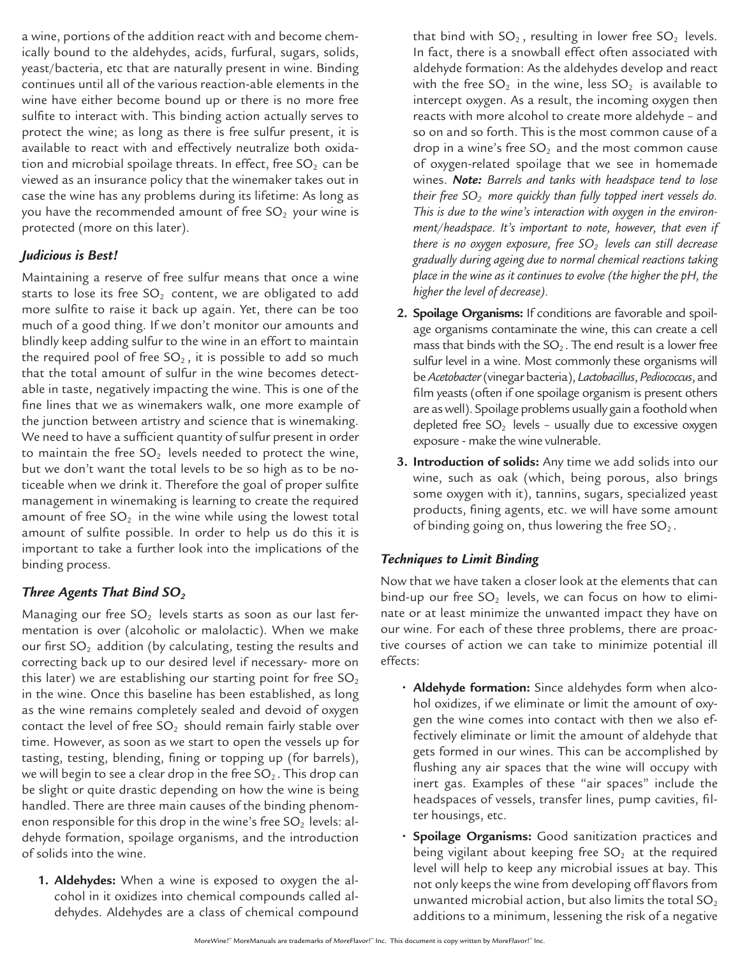a wine, portions of the addition react with and become chemically bound to the aldehydes, acids, furfural, sugars, solids, yeast/bacteria, etc that are naturally present in wine. Binding continues until all of the various reaction-able elements in the wine have either become bound up or there is no more free sulfite to interact with. This binding action actually serves to protect the wine; as long as there is free sulfur present, it is available to react with and effectively neutralize both oxidation and microbial spoilage threats. In effect, free  $SO<sub>2</sub>$  can be viewed as an insurance policy that the winemaker takes out in case the wine has any problems during its lifetime: As long as you have the recommended amount of free  $SO<sub>2</sub>$  your wine is protected (more on this later).

#### *Judicious is Best!*

Maintaining a reserve of free sulfur means that once a wine starts to lose its free  $SO<sub>2</sub>$  content, we are obligated to add more sulfite to raise it back up again. Yet, there can be too much of a good thing. If we don't monitor our amounts and blindly keep adding sulfur to the wine in an effort to maintain the required pool of free  $SO<sub>2</sub>$ , it is possible to add so much that the total amount of sulfur in the wine becomes detectable in taste, negatively impacting the wine. This is one of the fine lines that we as winemakers walk, one more example of the junction between artistry and science that is winemaking. We need to have a sufficient quantity of sulfur present in order to maintain the free  $SO_2$  levels needed to protect the wine, but we don't want the total levels to be so high as to be noticeable when we drink it. Therefore the goal of proper sulfite management in winemaking is learning to create the required amount of free  $SO_2$  in the wine while using the lowest total amount of sulfite possible. In order to help us do this it is important to take a further look into the implications of the binding process.

### *Three Agents That Bind SO<sub>2</sub>*

Managing our free  $SO<sub>2</sub>$  levels starts as soon as our last fermentation is over (alcoholic or malolactic). When we make our first  $SO<sub>2</sub>$  addition (by calculating, testing the results and correcting back up to our desired level if necessary- more on this later) we are establishing our starting point for free  $SO<sub>2</sub>$ in the wine. Once this baseline has been established, as long as the wine remains completely sealed and devoid of oxygen contact the level of free  $SO_2$  should remain fairly stable over time. However, as soon as we start to open the vessels up for tasting, testing, blending, fining or topping up (for barrels), we will begin to see a clear drop in the free  $SO_2$ . This drop can be slight or quite drastic depending on how the wine is being handled. There are three main causes of the binding phenomenon responsible for this drop in the wine's free  $SO<sub>2</sub>$  levels: aldehyde formation, spoilage organisms, and the introduction of solids into the wine.

**1. Aldehydes:** When a wine is exposed to oxygen the alcohol in it oxidizes into chemical compounds called aldehydes. Aldehydes are a class of chemical compound

that bind with  $SO_2$ , resulting in lower free  $SO_2$  levels. In fact, there is a snowball effect often associated with aldehyde formation: As the aldehydes develop and react with the free  $SO_2$  in the wine, less  $SO_2$  is available to intercept oxygen. As a result, the incoming oxygen then reacts with more alcohol to create more aldehyde – and so on and so forth. This is the most common cause of a drop in a wine's free  $SO<sub>2</sub>$  and the most common cause of oxygen-related spoilage that we see in homemade wines. *Note: Barrels and tanks with headspace tend to lose their free SO2 more quickly than fully topped inert vessels do. This is due to the wine's interaction with oxygen in the environment/headspace. It's important to note, however, that even if there is no oxygen exposure, free SO<sub>2</sub> levels can still decrease gradually during ageing due to normal chemical reactions taking place in the wine as it continues to evolve (the higher the pH, the higher the level of decrease).*

- **2. Spoilage Organisms:** If conditions are favorable and spoilage organisms contaminate the wine, this can create a cell mass that binds with the  $SO_2$ . The end result is a lower free sulfur level in a wine. Most commonly these organisms will be *Acetobacter* (vinegar bacteria), *Lactobacillus*, *Pediococcus*, and film yeasts (often if one spoilage organism is present others are as well). Spoilage problems usually gain a foothold when depleted free  $SO_2$  levels - usually due to excessive oxygen exposure - make the wine vulnerable.
- **3. Introduction of solids:** Any time we add solids into our wine, such as oak (which, being porous, also brings some oxygen with it), tannins, sugars, specialized yeast products, fining agents, etc. we will have some amount of binding going on, thus lowering the free  $SO_2$ .

### *Techniques to Limit Binding*

Now that we have taken a closer look at the elements that can bind-up our free  $SO_2$  levels, we can focus on how to eliminate or at least minimize the unwanted impact they have on our wine. For each of these three problems, there are proactive courses of action we can take to minimize potential ill effects:

- **• Aldehyde formation:** Since aldehydes form when alcohol oxidizes, if we eliminate or limit the amount of oxygen the wine comes into contact with then we also effectively eliminate or limit the amount of aldehyde that gets formed in our wines. This can be accomplished by flushing any air spaces that the wine will occupy with inert gas. Examples of these "air spaces" include the headspaces of vessels, transfer lines, pump cavities, filter housings, etc.
- **• Spoilage Organisms:** Good sanitization practices and being vigilant about keeping free  $SO<sub>2</sub>$  at the required level will help to keep any microbial issues at bay. This not only keeps the wine from developing off flavors from unwanted microbial action, but also limits the total SO $_{\rm 2}$ additions to a minimum, lessening the risk of a negative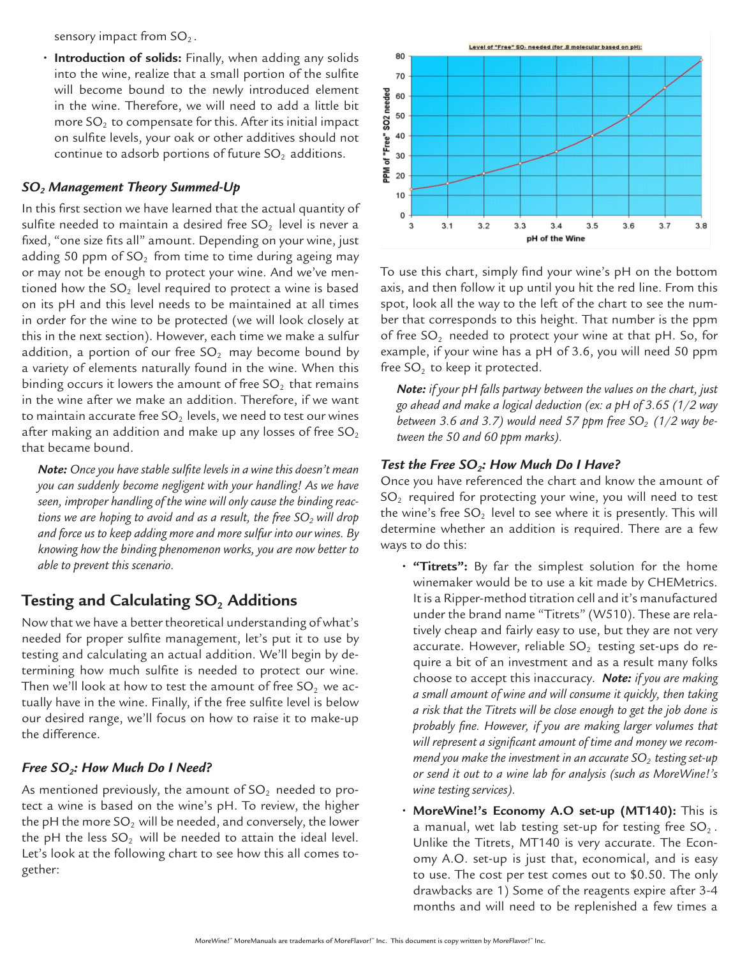sensory impact from  $SO<sub>2</sub>$ .

**• Introduction of solids:** Finally, when adding any solids into the wine, realize that a small portion of the sulfite will become bound to the newly introduced element in the wine. Therefore, we will need to add a little bit more  $SO<sub>2</sub>$  to compensate for this. After its initial impact on sulfite levels, your oak or other additives should not continue to adsorb portions of future  $SO<sub>2</sub>$  additions.

#### *SO2 Management Theory Summed-Up*

In this first section we have learned that the actual quantity of sulfite needed to maintain a desired free  $SO<sub>2</sub>$  level is never a fixed, "one size fits all" amount. Depending on your wine, just adding 50 ppm of  $SO<sub>2</sub>$  from time to time during ageing may or may not be enough to protect your wine. And we've mentioned how the  $SO<sub>2</sub>$  level required to protect a wine is based on its pH and this level needs to be maintained at all times in order for the wine to be protected (we will look closely at this in the next section). However, each time we make a sulfur addition, a portion of our free  $SO_2$  may become bound by a variety of elements naturally found in the wine. When this binding occurs it lowers the amount of free  $SO<sub>2</sub>$  that remains in the wine after we make an addition. Therefore, if we want to maintain accurate free  $SO<sub>2</sub>$  levels, we need to test our wines after making an addition and make up any losses of free  $SO<sub>2</sub>$ that became bound.

*Note: Once you have stable sulfite levels in a wine this doesn't mean you can suddenly become negligent with your handling! As we have seen, improper handling of the wine will only cause the binding reac*tions we are hoping to avoid and as a result, the free SO<sub>2</sub> will drop *and force us to keep adding more and more sulfur into our wines. By knowing how the binding phenomenon works, you are now better to able to prevent this scenario.* 

### Testing and Calculating SO<sub>2</sub> Additions

Now that we have a better theoretical understanding of what's needed for proper sulfite management, let's put it to use by testing and calculating an actual addition. We'll begin by determining how much sulfite is needed to protect our wine. Then we'll look at how to test the amount of free  $SO<sub>2</sub>$  we actually have in the wine. Finally, if the free sulfite level is below our desired range, we'll focus on how to raise it to make-up the difference.

#### *Free SO<sub>2</sub>: How Much Do I Need?*

As mentioned previously, the amount of  $SO<sub>2</sub>$  needed to protect a wine is based on the wine's pH. To review, the higher the pH the more SO<sub>2</sub> will be needed, and conversely, the lower the pH the less  $SO_2$  will be needed to attain the ideal level. Let's look at the following chart to see how this all comes together:



To use this chart, simply find your wine's pH on the bottom axis, and then follow it up until you hit the red line. From this spot, look all the way to the left of the chart to see the number that corresponds to this height. That number is the ppm of free  $SO_2$  needed to protect your wine at that pH. So, for example, if your wine has a pH of 3.6, you will need 50 ppm free  $SO<sub>2</sub>$  to keep it protected.

*Note: if your pH falls partway between the values on the chart, just go ahead and make a logical deduction (ex: a pH of 3.65 (1/2 way*  between 3.6 and 3.7) would need 57 ppm free  $SO<sub>2</sub>$  (1/2 way be*tween the 50 and 60 ppm marks).*

#### *Test the Free SO2: How Much Do I Have?*

Once you have referenced the chart and know the amount of  $SO<sub>2</sub>$  required for protecting your wine, you will need to test the wine's free  $SO_2$  level to see where it is presently. This will determine whether an addition is required. There are a few ways to do this:

- **"Titrets":** By far the simplest solution for the home winemaker would be to use a kit made by CHEMetrics. It is a Ripper-method titration cell and it's manufactured under the brand name "Titrets" (W510). These are relatively cheap and fairly easy to use, but they are not very accurate. However, reliable  $SO_2$  testing set-ups do require a bit of an investment and as a result many folks choose to accept this inaccuracy. *Note: if you are making a small amount of wine and will consume it quickly, then taking a risk that the Titrets will be close enough to get the job done is probably fine. However, if you are making larger volumes that will represent a significant amount of time and money we recommend you make the investment in an accurate*  $SO<sub>2</sub>$  testing set-up *or send it out to a wine lab for analysis (such as MoreWine!'s wine testing services).*
- **• MoreWine!'s Economy A.O set-up (MT140):** This is a manual, wet lab testing set-up for testing free  $SO_2$ . Unlike the Titrets, MT140 is very accurate. The Economy A.O. set-up is just that, economical, and is easy to use. The cost per test comes out to \$0.50. The only drawbacks are 1) Some of the reagents expire after 3-4 months and will need to be replenished a few times a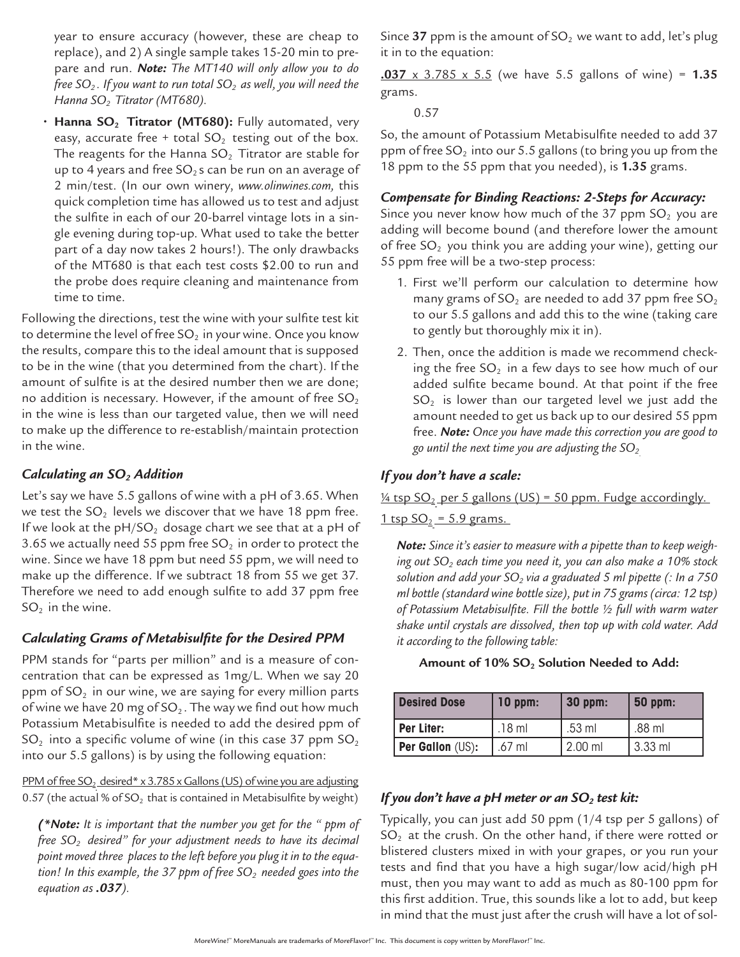year to ensure accuracy (however, these are cheap to replace), and 2) A single sample takes 15-20 min to prepare and run. *Note: The MT140 will only allow you to do free SO*<sub>2</sub>. If you want to run total SO<sub>2</sub> as well, you will need the *Hanna SO<sub>2</sub> Titrator (MT680).* 

• Hanna SO<sub>2</sub> Titrator (MT680): Fully automated, very easy, accurate free + total  $SO_2$  testing out of the box. The reagents for the Hanna  $SO<sub>2</sub>$  Titrator are stable for up to 4 years and free  $SO_2$ s can be run on an average of 2 min/test. (In our own winery, *www.olinwines.com,* this quick completion time has allowed us to test and adjust the sulfite in each of our 20-barrel vintage lots in a single evening during top-up. What used to take the better part of a day now takes 2 hours!). The only drawbacks of the MT680 is that each test costs \$2.00 to run and the probe does require cleaning and maintenance from time to time.

Following the directions, test the wine with your sulfite test kit to determine the level of free  $SO_2$  in your wine. Once you know the results, compare this to the ideal amount that is supposed to be in the wine (that you determined from the chart). If the amount of sulfite is at the desired number then we are done; no addition is necessary. However, if the amount of free  $SO_2$ in the wine is less than our targeted value, then we will need to make up the difference to re-establish/maintain protection in the wine.

#### *Calculating an SO2 Addition*

Let's say we have 5.5 gallons of wine with a pH of 3.65. When we test the  $SO_2$  levels we discover that we have 18 ppm free. If we look at the  $pH/SO_2$  dosage chart we see that at a pH of 3.65 we actually need 55 ppm free  $SO<sub>2</sub>$  in order to protect the wine. Since we have 18 ppm but need 55 ppm, we will need to make up the difference. If we subtract 18 from 55 we get 37. Therefore we need to add enough sulfite to add 37 ppm free  $SO<sub>2</sub>$  in the wine.

#### *Calculating Grams of Metabisulfite for the Desired PPM*

PPM stands for "parts per million" and is a measure of concentration that can be expressed as 1mg/L. When we say 20 ppm of  $SO<sub>2</sub>$  in our wine, we are saying for every million parts of wine we have 20 mg of  $SO_2$ . The way we find out how much Potassium Metabisulfite is needed to add the desired ppm of  $SO<sub>2</sub>$  into a specific volume of wine (in this case 37 ppm  $SO<sub>2</sub>$ ) into our 5.5 gallons) is by using the following equation:

PPM of free  $SO_2$  desired\* x 3.785 x Gallons (US) of wine you are adjusting 0.57 (the actual % of  $SO<sub>2</sub>$  that is contained in Metabisulfite by weight)

*(\*Note: It is important that the number you get for the " ppm of free SO2 desired" for your adjustment needs to have its decimal point moved three places to the left before you plug it in to the equa*tion! In this example, the 37 ppm of free SO<sub>2</sub> needed goes into the *equation as .037).*

Since **37** ppm is the amount of  $SO<sub>2</sub>$  we want to add, let's plug it in to the equation:

**.037** x 3.785 x 5.5 (we have 5.5 gallons of wine) = **1.35** grams.

0.57

So, the amount of Potassium Metabisulfite needed to add 37 ppm of free SO<sub>2</sub> into our 5.5 gallons (to bring you up from the 18 ppm to the 55 ppm that you needed), is **1.35** grams.

#### *Compensate for Binding Reactions: 2-Steps for Accuracy:*

Since you never know how much of the 37 ppm  $SO<sub>2</sub>$  you are adding will become bound (and therefore lower the amount of free  $SO<sub>2</sub>$  you think you are adding your wine), getting our 55 ppm free will be a two-step process:

- 1. First we'll perform our calculation to determine how many grams of SO $_2$  are needed to add 37 ppm free SO $_2$ to our 5.5 gallons and add this to the wine (taking care to gently but thoroughly mix it in).
- 2. Then, once the addition is made we recommend checking the free  $SO<sub>2</sub>$  in a few days to see how much of our added sulfite became bound. At that point if the free  $SO<sub>2</sub>$  is lower than our targeted level we just add the amount needed to get us back up to our desired 55 ppm free. *Note: Once you have made this correction you are good to*  go until the next time you are adjusting the  $SO_2$ .

#### *If you don't have a scale:*

 $\frac{1}{4}$  tsp SO<sub>2</sub> per 5 gallons (US) = 50 ppm. Fudge accordingly.

 $1$  tsp  $SO_2 = 5.9$  grams.

*Note: Since it's easier to measure with a pipette than to keep weigh*ing out SO<sub>2</sub> each time you need it, you can also make a 10% stock solution and add your SO<sub>2</sub> via a graduated 5 ml pipette (: In a 750 *ml bottle (standard wine bottle size), put in 75 grams (circa: 12 tsp) of Potassium Metabisulfite. Fill the bottle ½ full with warm water shake until crystals are dissolved, then top up with cold water. Add it according to the following table:* 

Amount of 10% SO<sub>2</sub> Solution Needed to Add:

| <b>Desired Dose</b>     | $10$ ppm: | 30 ppm:   | $50$ ppm: |
|-------------------------|-----------|-----------|-----------|
| Per Liter:              | .18 ml    | .53 ml    | .88 ml    |
| <b>Per Gallon</b> (US): | $.67$ ml  | $2.00$ ml | 3.33 ml   |

#### *If you don't have a pH meter or an SO<sub>2</sub> test kit:*

Typically, you can just add 50 ppm (1/4 tsp per 5 gallons) of  $SO<sub>2</sub>$  at the crush. On the other hand, if there were rotted or blistered clusters mixed in with your grapes, or you run your tests and find that you have a high sugar/low acid/high pH must, then you may want to add as much as 80-100 ppm for this first addition. True, this sounds like a lot to add, but keep in mind that the must just after the crush will have a lot of sol